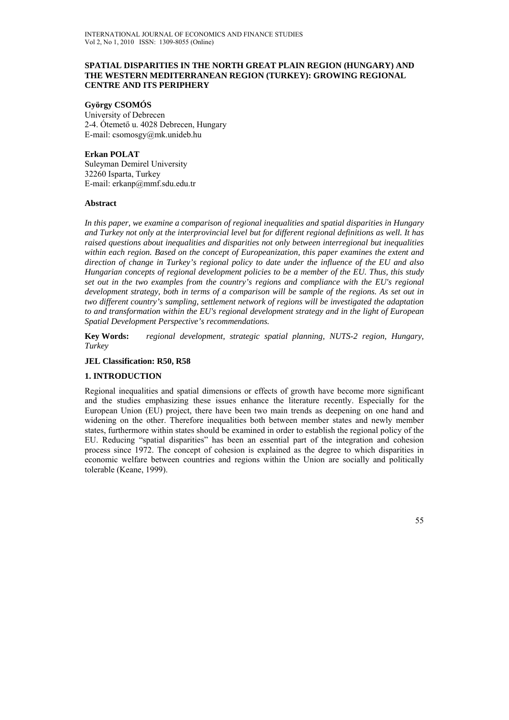### **SPATIAL DISPARITIES IN THE NORTH GREAT PLAIN REGION (HUNGARY) AND THE WESTERN MEDITERRANEAN REGION (TURKEY): GROWING REGIONAL CENTRE AND ITS PERIPHERY**

#### **György CSOMÓS**

University of Debrecen 2-4. Ótemető u. 4028 Debrecen, Hungary E-mail: csomosgy@mk.unideb.hu

# **Erkan POLAT**

Suleyman Demirel University 32260 Isparta, Turkey E-mail: erkanp@mmf.sdu.edu.tr

### **Abstract**

*In this paper, we examine a comparison of regional inequalities and spatial disparities in Hungary and Turkey not only at the interprovincial level but for different regional definitions as well. It has raised questions about inequalities and disparities not only between interregional but inequalities within each region. Based on the concept of Europeanization, this paper examines the extent and direction of change in Turkey's regional policy to date under the influence of the EU and also Hungarian concepts of regional development policies to be a member of the EU. Thus, this study set out in the two examples from the country's regions and compliance with the EU's regional development strategy, both in terms of a comparison will be sample of the regions. As set out in two different country's sampling, settlement network of regions will be investigated the adaptation to and transformation within the EU's regional development strategy and in the light of European Spatial Development Perspective's recommendations.* 

**Key Words:** *regional development, strategic spatial planning, NUTS-2 region, Hungary, Turkey* 

## **JEL Classification: R50, R58**

## **1. INTRODUCTION**

Regional inequalities and spatial dimensions or effects of growth have become more significant and the studies emphasizing these issues enhance the literature recently. Especially for the European Union (EU) project, there have been two main trends as deepening on one hand and widening on the other. Therefore inequalities both between member states and newly member states, furthermore within states should be examined in order to establish the regional policy of the EU. Reducing "spatial disparities" has been an essential part of the integration and cohesion process since 1972. The concept of cohesion is explained as the degree to which disparities in economic welfare between countries and regions within the Union are socially and politically tolerable (Keane, 1999).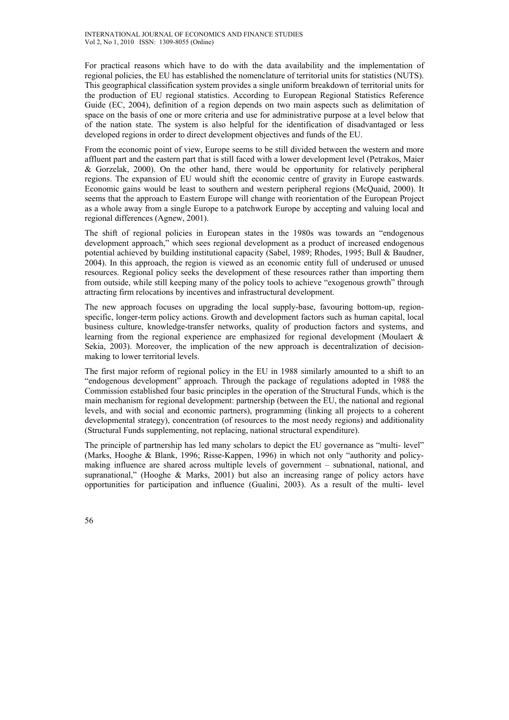For practical reasons which have to do with the data availability and the implementation of regional policies, the EU has established the nomenclature of territorial units for statistics (NUTS). This geographical classification system provides a single uniform breakdown of territorial units for the production of EU regional statistics. According to European Regional Statistics Reference Guide (EC, 2004), definition of a region depends on two main aspects such as delimitation of space on the basis of one or more criteria and use for administrative purpose at a level below that of the nation state. The system is also helpful for the identification of disadvantaged or less developed regions in order to direct development objectives and funds of the EU.

From the economic point of view, Europe seems to be still divided between the western and more affluent part and the eastern part that is still faced with a lower development level (Petrakos, Maier & Gorzelak, 2000). On the other hand, there would be opportunity for relatively peripheral regions. The expansion of EU would shift the economic centre of gravity in Europe eastwards. Economic gains would be least to southern and western peripheral regions (McQuaid, 2000). It seems that the approach to Eastern Europe will change with reorientation of the European Project as a whole away from a single Europe to a patchwork Europe by accepting and valuing local and regional differences (Agnew, 2001).

The shift of regional policies in European states in the 1980s was towards an "endogenous development approach," which sees regional development as a product of increased endogenous potential achieved by building institutional capacity (Sabel, 1989; Rhodes, 1995; Bull & Baudner, 2004). In this approach, the region is viewed as an economic entity full of underused or unused resources. Regional policy seeks the development of these resources rather than importing them from outside, while still keeping many of the policy tools to achieve "exogenous growth" through attracting firm relocations by incentives and infrastructural development.

The new approach focuses on upgrading the local supply-base, favouring bottom-up, regionspecific, longer-term policy actions. Growth and development factors such as human capital, local business culture, knowledge-transfer networks, quality of production factors and systems, and learning from the regional experience are emphasized for regional development (Moulaert & Sekia, 2003). Moreover, the implication of the new approach is decentralization of decisionmaking to lower territorial levels.

The first major reform of regional policy in the EU in 1988 similarly amounted to a shift to an "endogenous development" approach. Through the package of regulations adopted in 1988 the Commission established four basic principles in the operation of the Structural Funds, which is the main mechanism for regional development: partnership (between the EU, the national and regional levels, and with social and economic partners), programming (linking all projects to a coherent developmental strategy), concentration (of resources to the most needy regions) and additionality (Structural Funds supplementing, not replacing, national structural expenditure).

The principle of partnership has led many scholars to depict the EU governance as "multi- level" (Marks, Hooghe & Blank, 1996; Risse-Kappen, 1996) in which not only "authority and policymaking influence are shared across multiple levels of government – subnational, national, and supranational," (Hooghe & Marks, 2001) but also an increasing range of policy actors have opportunities for participation and influence (Gualini, 2003). As a result of the multi- level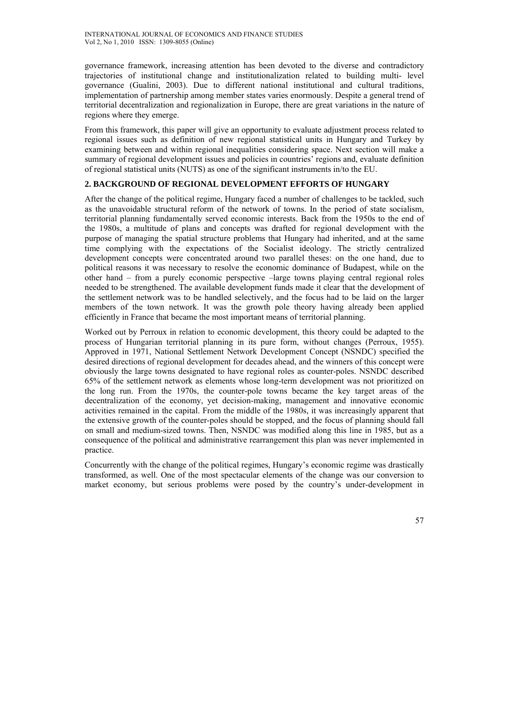governance framework, increasing attention has been devoted to the diverse and contradictory trajectories of institutional change and institutionalization related to building multi- level governance (Gualini, 2003). Due to different national institutional and cultural traditions, implementation of partnership among member states varies enormously. Despite a general trend of territorial decentralization and regionalization in Europe, there are great variations in the nature of regions where they emerge.

From this framework, this paper will give an opportunity to evaluate adjustment process related to regional issues such as definition of new regional statistical units in Hungary and Turkey by examining between and within regional inequalities considering space. Next section will make a summary of regional development issues and policies in countries' regions and, evaluate definition of regional statistical units (NUTS) as one of the significant instruments in/to the EU.

## **2. BACKGROUND OF REGIONAL DEVELOPMENT EFFORTS OF HUNGARY**

After the change of the political regime, Hungary faced a number of challenges to be tackled, such as the unavoidable structural reform of the network of towns. In the period of state socialism, territorial planning fundamentally served economic interests. Back from the 1950s to the end of the 1980s, a multitude of plans and concepts was drafted for regional development with the purpose of managing the spatial structure problems that Hungary had inherited, and at the same time complying with the expectations of the Socialist ideology. The strictly centralized development concepts were concentrated around two parallel theses: on the one hand, due to political reasons it was necessary to resolve the economic dominance of Budapest, while on the other hand – from a purely economic perspective –large towns playing central regional roles needed to be strengthened. The available development funds made it clear that the development of the settlement network was to be handled selectively, and the focus had to be laid on the larger members of the town network. It was the growth pole theory having already been applied efficiently in France that became the most important means of territorial planning.

Worked out by Perroux in relation to economic development, this theory could be adapted to the process of Hungarian territorial planning in its pure form, without changes (Perroux, 1955). Approved in 1971, National Settlement Network Development Concept (NSNDC) specified the desired directions of regional development for decades ahead, and the winners of this concept were obviously the large towns designated to have regional roles as counter-poles. NSNDC described 65% of the settlement network as elements whose long-term development was not prioritized on the long run. From the 1970s, the counter-pole towns became the key target areas of the decentralization of the economy, yet decision-making, management and innovative economic activities remained in the capital. From the middle of the 1980s, it was increasingly apparent that the extensive growth of the counter-poles should be stopped, and the focus of planning should fall on small and medium-sized towns. Then, NSNDC was modified along this line in 1985, but as a consequence of the political and administrative rearrangement this plan was never implemented in practice.

Concurrently with the change of the political regimes, Hungary's economic regime was drastically transformed, as well. One of the most spectacular elements of the change was our conversion to market economy, but serious problems were posed by the country's under-development in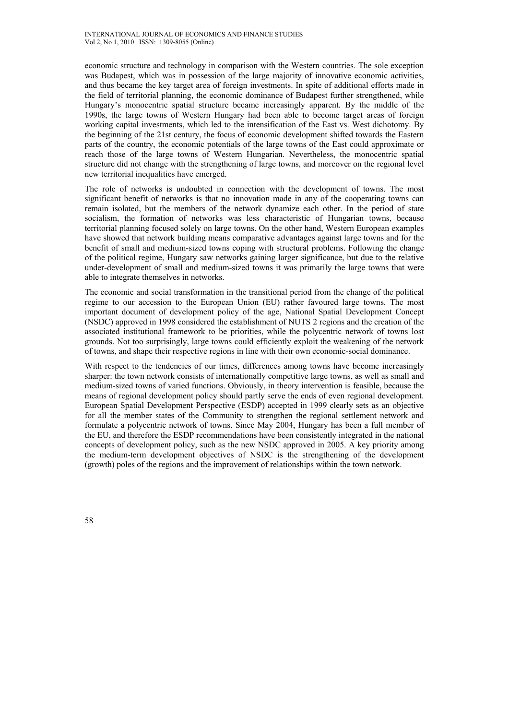economic structure and technology in comparison with the Western countries. The sole exception was Budapest, which was in possession of the large majority of innovative economic activities, and thus became the key target area of foreign investments. In spite of additional efforts made in the field of territorial planning, the economic dominance of Budapest further strengthened, while Hungary's monocentric spatial structure became increasingly apparent. By the middle of the 1990s, the large towns of Western Hungary had been able to become target areas of foreign working capital investments, which led to the intensification of the East vs. West dichotomy. By the beginning of the 21st century, the focus of economic development shifted towards the Eastern parts of the country, the economic potentials of the large towns of the East could approximate or reach those of the large towns of Western Hungarian. Nevertheless, the monocentric spatial structure did not change with the strengthening of large towns, and moreover on the regional level new territorial inequalities have emerged.

The role of networks is undoubted in connection with the development of towns. The most significant benefit of networks is that no innovation made in any of the cooperating towns can remain isolated, but the members of the network dynamize each other. In the period of state socialism, the formation of networks was less characteristic of Hungarian towns, because territorial planning focused solely on large towns. On the other hand, Western European examples have showed that network building means comparative advantages against large towns and for the benefit of small and medium-sized towns coping with structural problems. Following the change of the political regime, Hungary saw networks gaining larger significance, but due to the relative under-development of small and medium-sized towns it was primarily the large towns that were able to integrate themselves in networks.

The economic and social transformation in the transitional period from the change of the political regime to our accession to the European Union (EU) rather favoured large towns. The most important document of development policy of the age, National Spatial Development Concept (NSDC) approved in 1998 considered the establishment of NUTS 2 regions and the creation of the associated institutional framework to be priorities, while the polycentric network of towns lost grounds. Not too surprisingly, large towns could efficiently exploit the weakening of the network of towns, and shape their respective regions in line with their own economic-social dominance.

With respect to the tendencies of our times, differences among towns have become increasingly sharper: the town network consists of internationally competitive large towns, as well as small and medium-sized towns of varied functions. Obviously, in theory intervention is feasible, because the means of regional development policy should partly serve the ends of even regional development. European Spatial Development Perspective (ESDP) accepted in 1999 clearly sets as an objective for all the member states of the Community to strengthen the regional settlement network and formulate a polycentric network of towns. Since May 2004, Hungary has been a full member of the EU, and therefore the ESDP recommendations have been consistently integrated in the national concepts of development policy, such as the new NSDC approved in 2005. A key priority among the medium-term development objectives of NSDC is the strengthening of the development (growth) poles of the regions and the improvement of relationships within the town network.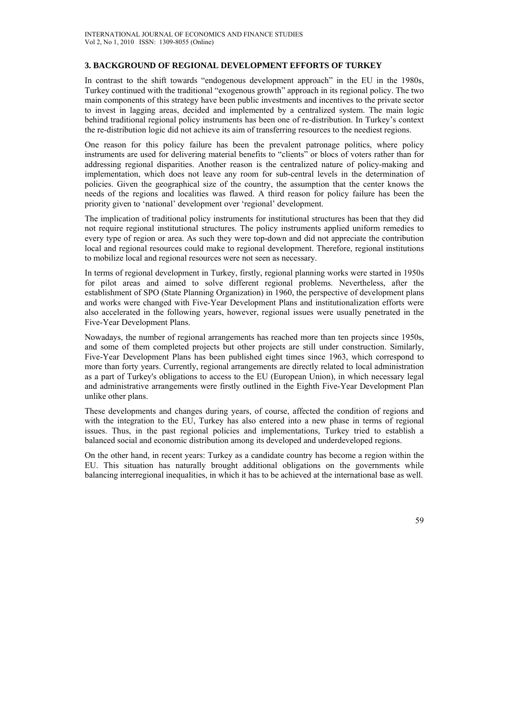### **3. BACKGROUND OF REGIONAL DEVELOPMENT EFFORTS OF TURKEY**

In contrast to the shift towards "endogenous development approach" in the EU in the 1980s, Turkey continued with the traditional "exogenous growth" approach in its regional policy. The two main components of this strategy have been public investments and incentives to the private sector to invest in lagging areas, decided and implemented by a centralized system. The main logic behind traditional regional policy instruments has been one of re-distribution. In Turkey's context the re-distribution logic did not achieve its aim of transferring resources to the neediest regions.

One reason for this policy failure has been the prevalent patronage politics, where policy instruments are used for delivering material benefits to "clients" or blocs of voters rather than for addressing regional disparities. Another reason is the centralized nature of policy-making and implementation, which does not leave any room for sub-central levels in the determination of policies. Given the geographical size of the country, the assumption that the center knows the needs of the regions and localities was flawed. A third reason for policy failure has been the priority given to 'national' development over 'regional' development.

The implication of traditional policy instruments for institutional structures has been that they did not require regional institutional structures. The policy instruments applied uniform remedies to every type of region or area. As such they were top-down and did not appreciate the contribution local and regional resources could make to regional development. Therefore, regional institutions to mobilize local and regional resources were not seen as necessary.

In terms of regional development in Turkey, firstly, regional planning works were started in 1950s for pilot areas and aimed to solve different regional problems. Nevertheless, after the establishment of SPO (State Planning Organization) in 1960, the perspective of development plans and works were changed with Five-Year Development Plans and institutionalization efforts were also accelerated in the following years, however, regional issues were usually penetrated in the Five-Year Development Plans.

Nowadays, the number of regional arrangements has reached more than ten projects since 1950s, and some of them completed projects but other projects are still under construction. Similarly, Five-Year Development Plans has been published eight times since 1963, which correspond to more than forty years. Currently, regional arrangements are directly related to local administration as a part of Turkey's obligations to access to the EU (European Union), in which necessary legal and administrative arrangements were firstly outlined in the Eighth Five-Year Development Plan unlike other plans.

These developments and changes during years, of course, affected the condition of regions and with the integration to the EU, Turkey has also entered into a new phase in terms of regional issues. Thus, in the past regional policies and implementations, Turkey tried to establish a balanced social and economic distribution among its developed and underdeveloped regions.

On the other hand, in recent years: Turkey as a candidate country has become a region within the EU. This situation has naturally brought additional obligations on the governments while balancing interregional inequalities, in which it has to be achieved at the international base as well.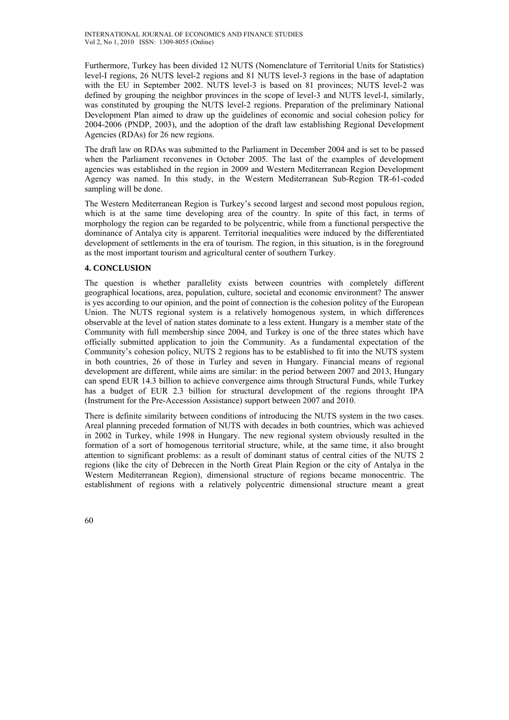Furthermore, Turkey has been divided 12 NUTS (Nomenclature of Territorial Units for Statistics) level-I regions, 26 NUTS level-2 regions and 81 NUTS level-3 regions in the base of adaptation with the EU in September 2002. NUTS level-3 is based on 81 provinces; NUTS level-2 was defined by grouping the neighbor provinces in the scope of level-3 and NUTS level-I, similarly, was constituted by grouping the NUTS level-2 regions. Preparation of the preliminary National Development Plan aimed to draw up the guidelines of economic and social cohesion policy for 2004-2006 (PNDP, 2003), and the adoption of the draft law establishing Regional Development Agencies (RDAs) for 26 new regions.

The draft law on RDAs was submitted to the Parliament in December 2004 and is set to be passed when the Parliament reconvenes in October 2005. The last of the examples of development agencies was established in the region in 2009 and Western Mediterranean Region Development Agency was named. In this study, in the Western Mediterranean Sub-Region TR-61-coded sampling will be done.

The Western Mediterranean Region is Turkey's second largest and second most populous region, which is at the same time developing area of the country. In spite of this fact, in terms of morphology the region can be regarded to be polycentric, while from a functional perspective the dominance of Antalya city is apparent. Territorial inequalities were induced by the differentiated development of settlements in the era of tourism. The region, in this situation, is in the foreground as the most important tourism and agricultural center of southern Turkey.

## **4. CONCLUSION**

The question is whether parallelity exists between countries with completely different geographical locations, area, population, culture, societal and economic environment? The answer is yes according to our opinion, and the point of connection is the cohesion politcy of the European Union. The NUTS regional system is a relatively homogenous system, in which differences observable at the level of nation states dominate to a less extent. Hungary is a member state of the Community with full membership since 2004, and Turkey is one of the three states which have officially submitted application to join the Community. As a fundamental expectation of the Community's cohesion policy, NUTS 2 regions has to be established to fit into the NUTS system in both countries, 26 of those in Turley and seven in Hungary. Financial means of regional development are different, while aims are similar: in the period between 2007 and 2013, Hungary can spend EUR 14.3 billion to achieve convergence aims through Structural Funds, while Turkey has a budget of EUR 2.3 billion for structural development of the regions throught IPA (Instrument for the Pre-Accession Assistance) support between 2007 and 2010.

There is definite similarity between conditions of introducing the NUTS system in the two cases. Areal planning preceded formation of NUTS with decades in both countries, which was achieved in 2002 in Turkey, while 1998 in Hungary. The new regional system obviously resulted in the formation of a sort of homogenous territorial structure, while, at the same time, it also brought attention to significant problems: as a result of dominant status of central cities of the NUTS 2 regions (like the city of Debrecen in the North Great Plain Region or the city of Antalya in the Western Mediterranean Region), dimensional structure of regions became monocentric. The establishment of regions with a relatively polycentric dimensional structure meant a great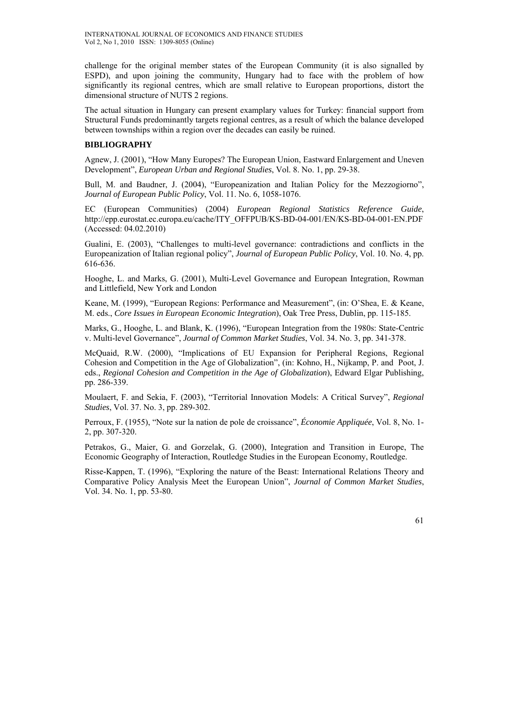challenge for the original member states of the European Community (it is also signalled by ESPD), and upon joining the community, Hungary had to face with the problem of how significantly its regional centres, which are small relative to European proportions, distort the dimensional structure of NUTS 2 regions.

The actual situation in Hungary can present examplary values for Turkey: financial support from Structural Funds predominantly targets regional centres, as a result of which the balance developed between townships within a region over the decades can easily be ruined.

### **BIBLIOGRAPHY**

Agnew, J. (2001), "How Many Europes? The European Union, Eastward Enlargement and Uneven Development", *European Urban and Regional Studies*, Vol. 8. No. 1, pp. 29-38.

Bull, M. and Baudner, J. (2004), "Europeanization and Italian Policy for the Mezzogiorno", *Journal of European Public Policy*, Vol. 11. No. 6, 1058-1076.

EC (European Communities) (2004) *European Regional Statistics Reference Guide*, http://epp.eurostat.ec.europa.eu/cache/ITY\_OFFPUB/KS-BD-04-001/EN/KS-BD-04-001-EN.PDF (Accessed: 04.02.2010)

Gualini, E. (2003), "Challenges to multi-level governance: contradictions and conflicts in the Europeanization of Italian regional policy", *Journal of European Public Policy*, Vol. 10. No. 4, pp. 616-636.

Hooghe, L. and Marks, G. (2001), Multi-Level Governance and European Integration, Rowman and Littlefield, New York and London

Keane, M. (1999), "European Regions: Performance and Measurement", (in: O'Shea, E. & Keane, M. eds., *Core Issues in European Economic Integration*), Oak Tree Press, Dublin, pp. 115-185.

Marks, G., Hooghe, L. and Blank, K. (1996), "European Integration from the 1980s: State-Centric v. Multi-level Governance", *Journal of Common Market Studies*, Vol. 34. No. 3, pp. 341-378.

McQuaid, R.W. (2000), "Implications of EU Expansion for Peripheral Regions, Regional Cohesion and Competition in the Age of Globalization", (in: Kohno, H., Nijkamp, P. and Poot, J. eds., *Regional Cohesion and Competition in the Age of Globalization*), Edward Elgar Publishing, pp. 286-339.

Moulaert, F. and Sekia, F. (2003), "Territorial Innovation Models: A Critical Survey", *Regional Studies*, Vol. 37. No. 3, pp. 289-302.

Perroux, F. (1955), "Note sur la nation de pole de croissance", *Économie Appliquée*, Vol. 8, No. 1- 2, pp. 307-320.

Petrakos, G., Maier, G. and Gorzelak, G. (2000), Integration and Transition in Europe, The Economic Geography of Interaction, Routledge Studies in the European Economy, Routledge.

Risse-Kappen, T. (1996), "Exploring the nature of the Beast: International Relations Theory and Comparative Policy Analysis Meet the European Union", *Journal of Common Market Studies*, Vol. 34. No. 1, pp. 53-80.